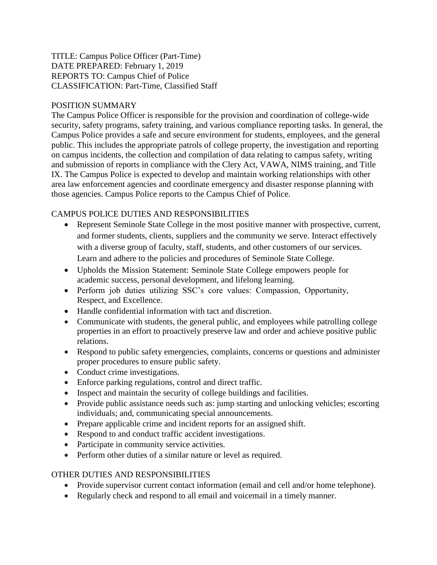#### TITLE: Campus Police Officer (Part-Time) DATE PREPARED: February 1, 2019 REPORTS TO: Campus Chief of Police CLASSIFICATION: Part-Time, Classified Staff

### POSITION SUMMARY

The Campus Police Officer is responsible for the provision and coordination of college-wide security, safety programs, safety training, and various compliance reporting tasks. In general, the Campus Police provides a safe and secure environment for students, employees, and the general public. This includes the appropriate patrols of college property, the investigation and reporting on campus incidents, the collection and compilation of data relating to campus safety, writing and submission of reports in compliance with the Clery Act, VAWA, NIMS training, and Title IX. The Campus Police is expected to develop and maintain working relationships with other area law enforcement agencies and coordinate emergency and disaster response planning with those agencies. Campus Police reports to the Campus Chief of Police.

# CAMPUS POLICE DUTIES AND RESPONSIBILITIES

- Represent Seminole State College in the most positive manner with prospective, current, and former students, clients, suppliers and the community we serve. Interact effectively with a diverse group of faculty, staff, students, and other customers of our services. Learn and adhere to the policies and procedures of Seminole State College.
- Upholds the Mission Statement: Seminole State College empowers people for academic success, personal development, and lifelong learning.
- Perform job duties utilizing SSC's core values: Compassion, Opportunity, Respect, and Excellence.
- Handle confidential information with tact and discretion.
- Communicate with students, the general public, and employees while patrolling college properties in an effort to proactively preserve law and order and achieve positive public relations.
- Respond to public safety emergencies, complaints, concerns or questions and administer proper procedures to ensure public safety.
- Conduct crime investigations.
- Enforce parking regulations, control and direct traffic.
- Inspect and maintain the security of college buildings and facilities.
- Provide public assistance needs such as: jump starting and unlocking vehicles; escorting individuals; and, communicating special announcements.
- Prepare applicable crime and incident reports for an assigned shift.
- Respond to and conduct traffic accident investigations.
- Participate in community service activities.
- Perform other duties of a similar nature or level as required.

## OTHER DUTIES AND RESPONSIBILITIES

- Provide supervisor current contact information (email and cell and/or home telephone).
- Regularly check and respond to all email and voicemail in a timely manner.